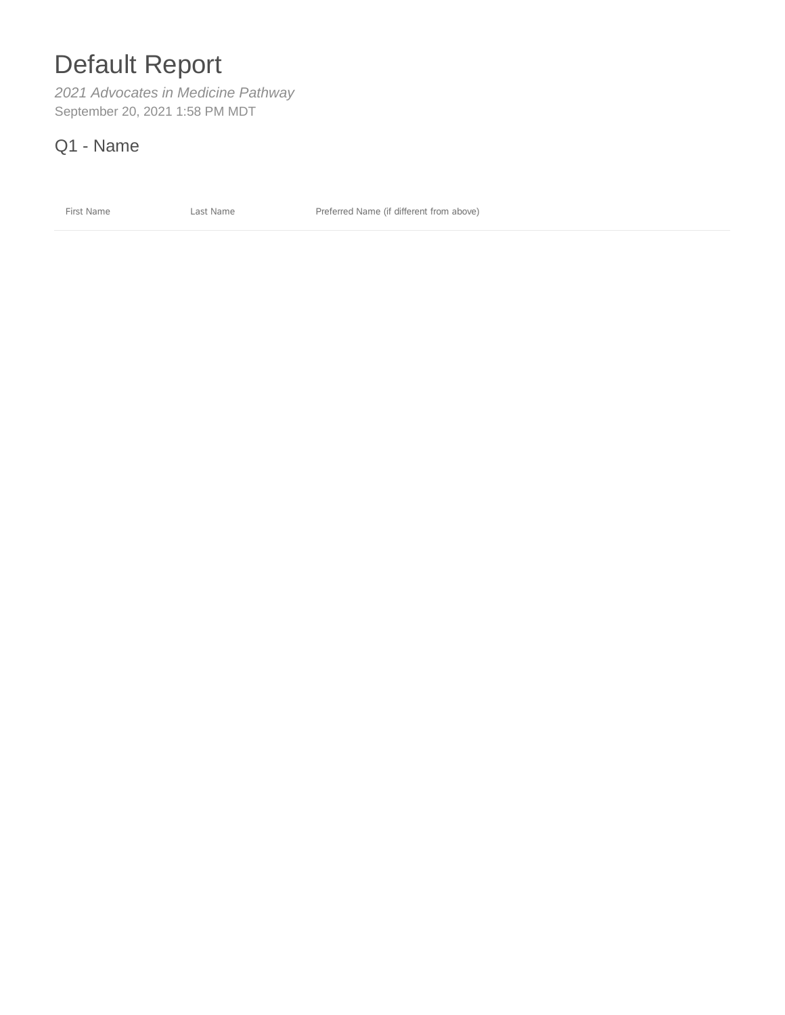# Default Report

*2021 Advocates in Medicine Pathway* September 20, 2021 1:58 PM MDT

Q1 - Name

First Name **Last Name Last Name Preferred Name (if different from above)**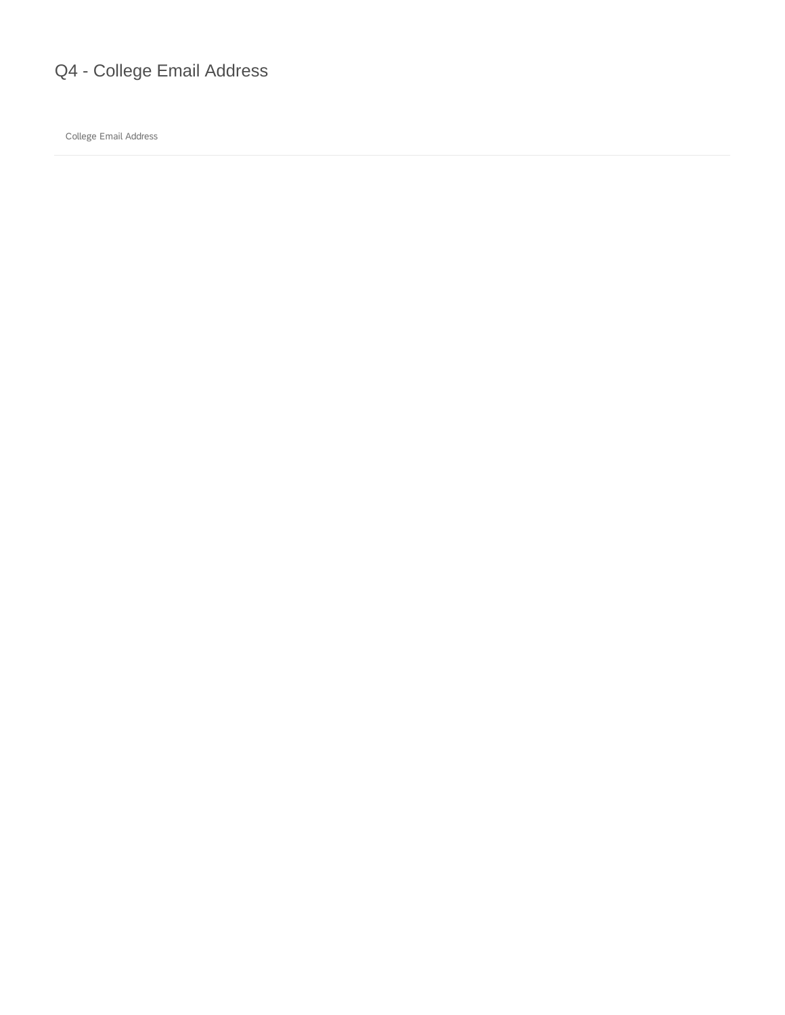## Q4 - College Email Address

College Email Address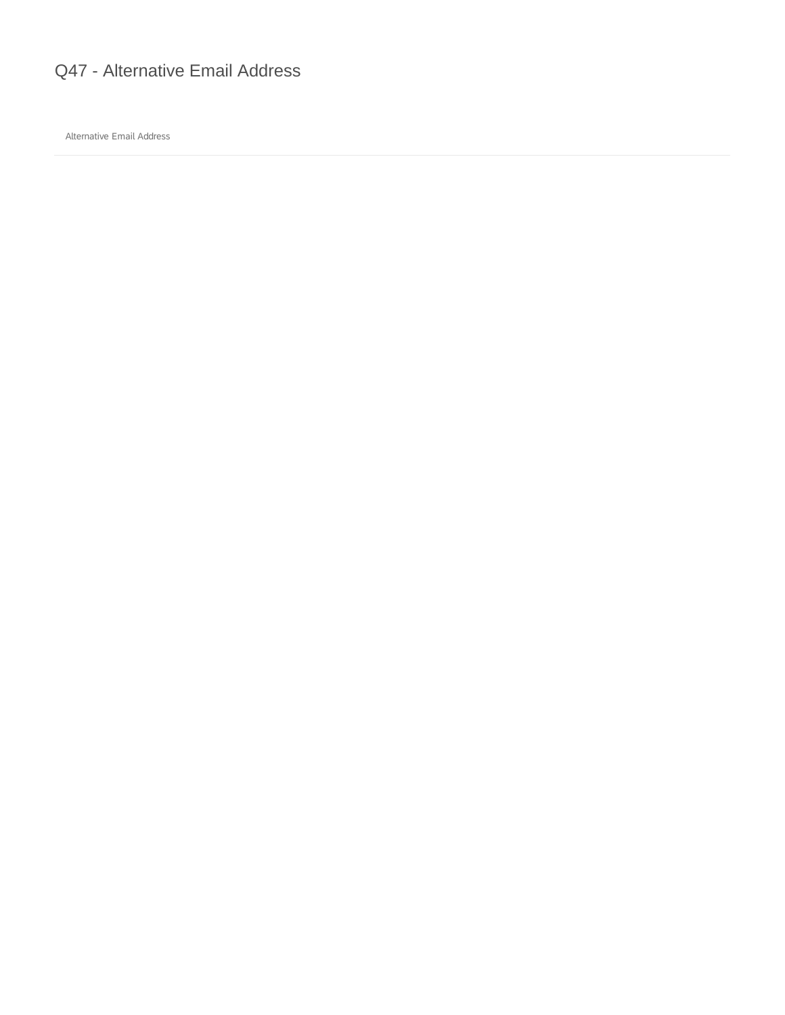## Q47 - Alternative Email Address

Alternative Email Address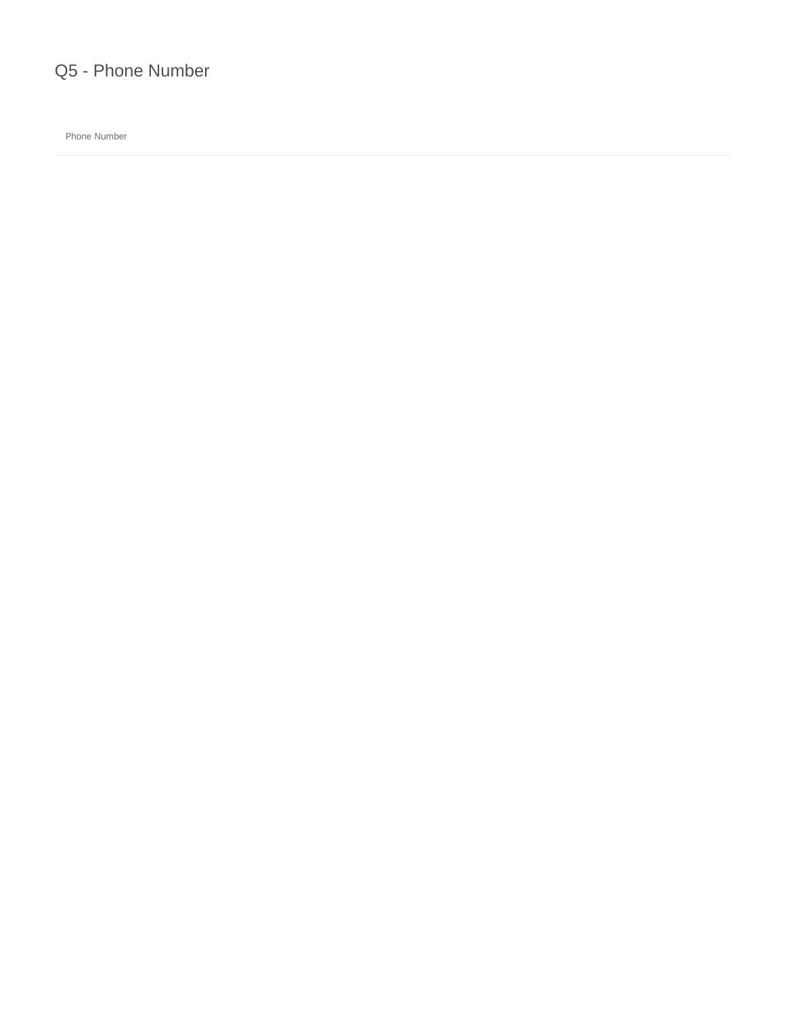

Phone Number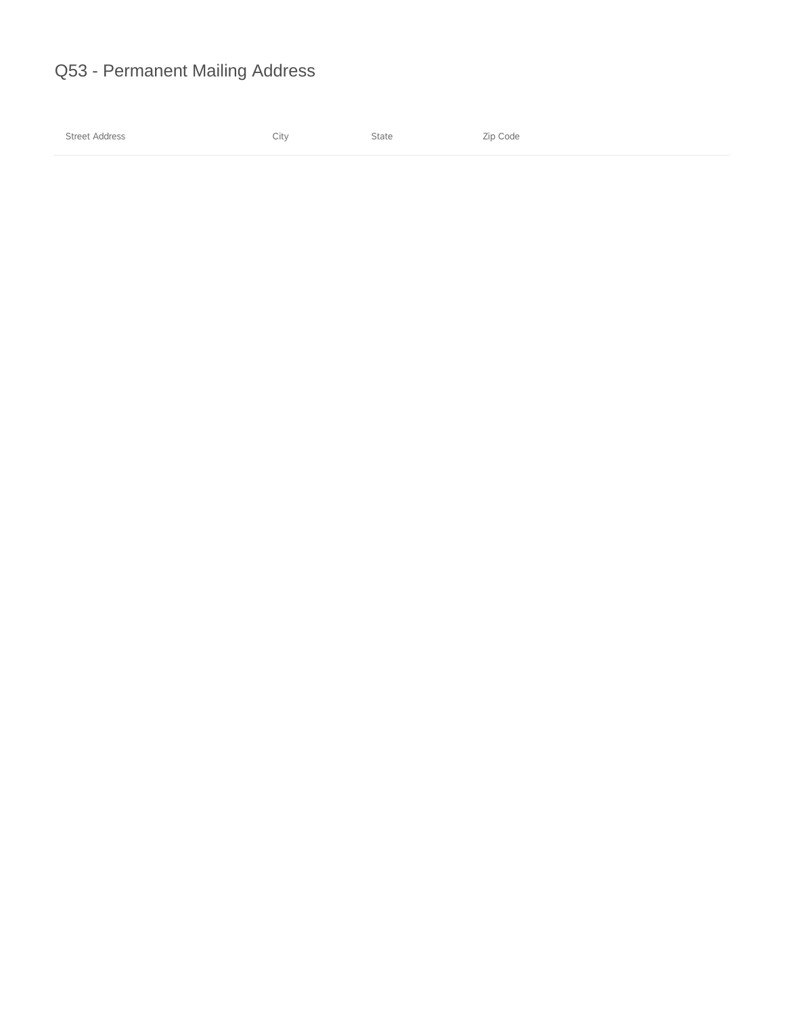## Q53 - Permanent Mailing Address

Street Address and Street Address and State State Street Address and Street Address and Street Address and Street Address and Street Address and Street Address and Street Address and Street Address and Street Address and S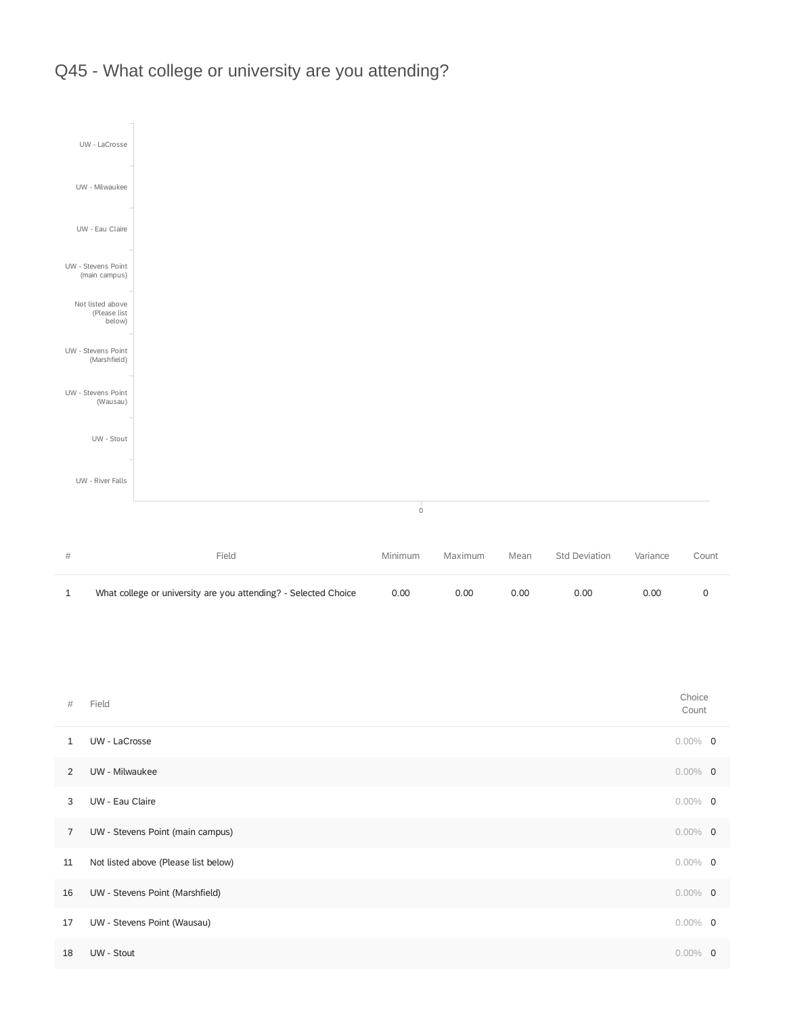



| $\#$           | Field                                | Choice<br>Count |  |
|----------------|--------------------------------------|-----------------|--|
| $\mathbf{1}$   | UW - LaCrosse                        | $0.00\%$ 0      |  |
| 2              | UW - Milwaukee                       | $0.00\%$ 0      |  |
| 3              | UW - Eau Claire                      | $0.00\%$ 0      |  |
| $\overline{7}$ | UW - Stevens Point (main campus)     | $0.00\%$ 0      |  |
| 11             | Not listed above (Please list below) | $0.00\%$ 0      |  |

| 16 | UW - Stevens Point (Marshfield) | $0.00\%$ 0 |  |
|----|---------------------------------|------------|--|
| 17 | UW - Stevens Point (Wausau)     | $0.00\%$ 0 |  |
| 18 | UW - Stout                      | $0.00\%$ 0 |  |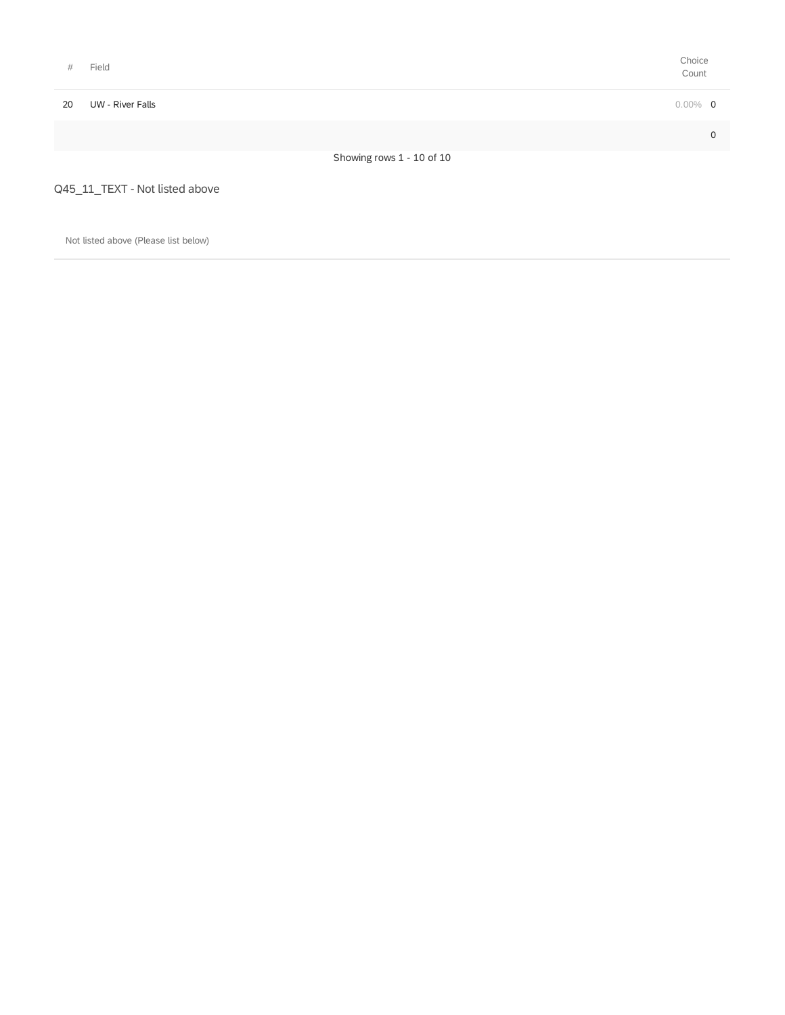| #  | Field                                | Choice<br>Count |  |
|----|--------------------------------------|-----------------|--|
| 20 | UW - River Falls                     | $0.00\%$ 0      |  |
|    |                                      | $\mathbf 0$     |  |
|    | Showing rows 1 - 10 of 10            |                 |  |
|    | Q45_11_TEXT - Not listed above       |                 |  |
|    | Not listed above (Please list below) |                 |  |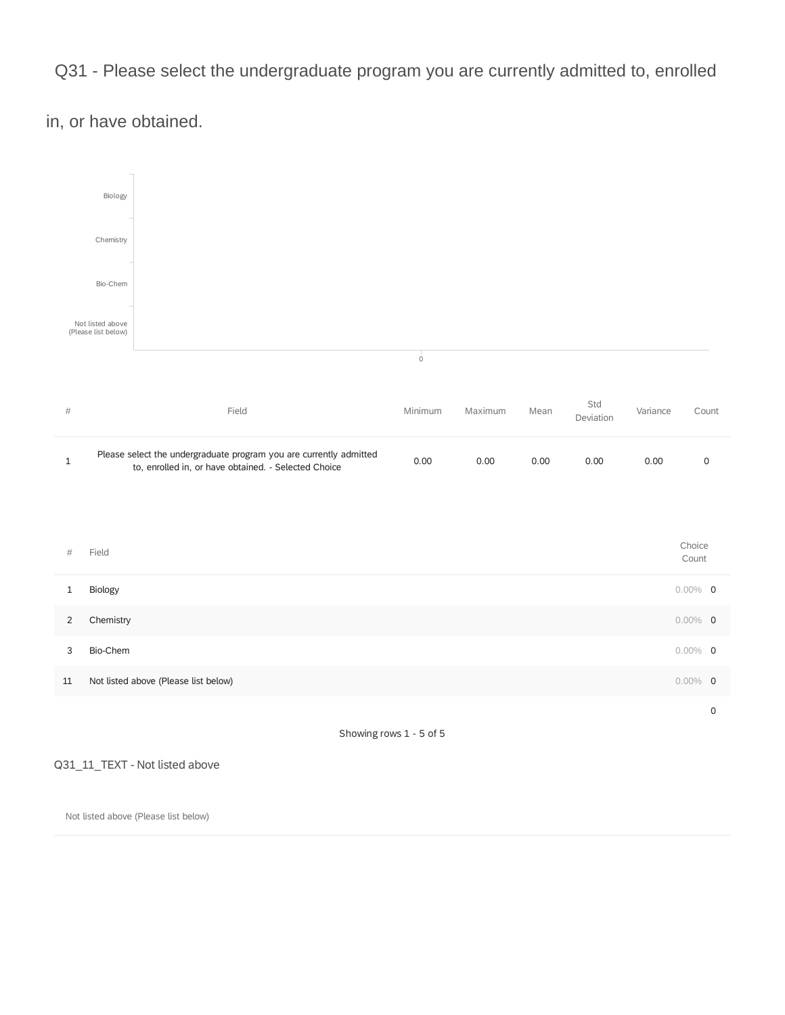Q31 - Please select the undergraduate program you are currently admitted to, enrolled

in, or have obtained.



Q31\_11\_TEXT - Not listed above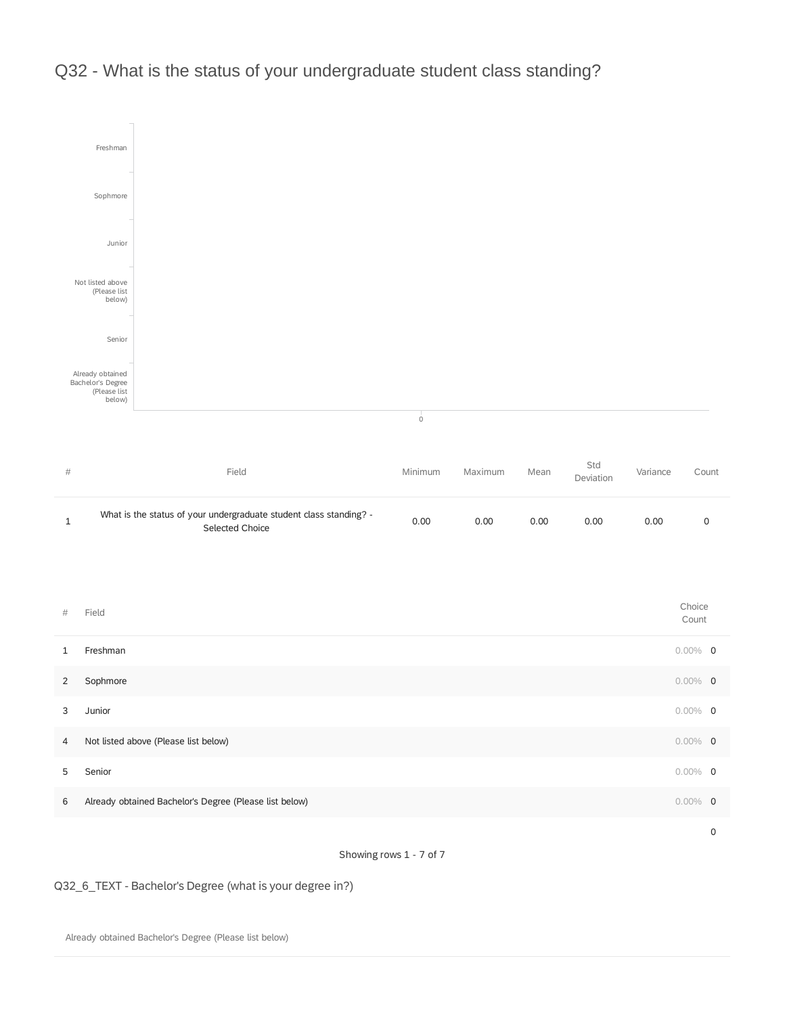

## Q32 - What is the status of your undergraduate student class standing?

Showing rows 1 - 7 of 7

Q32\_6\_TEXT - Bachelor's Degree (what is your degree in?)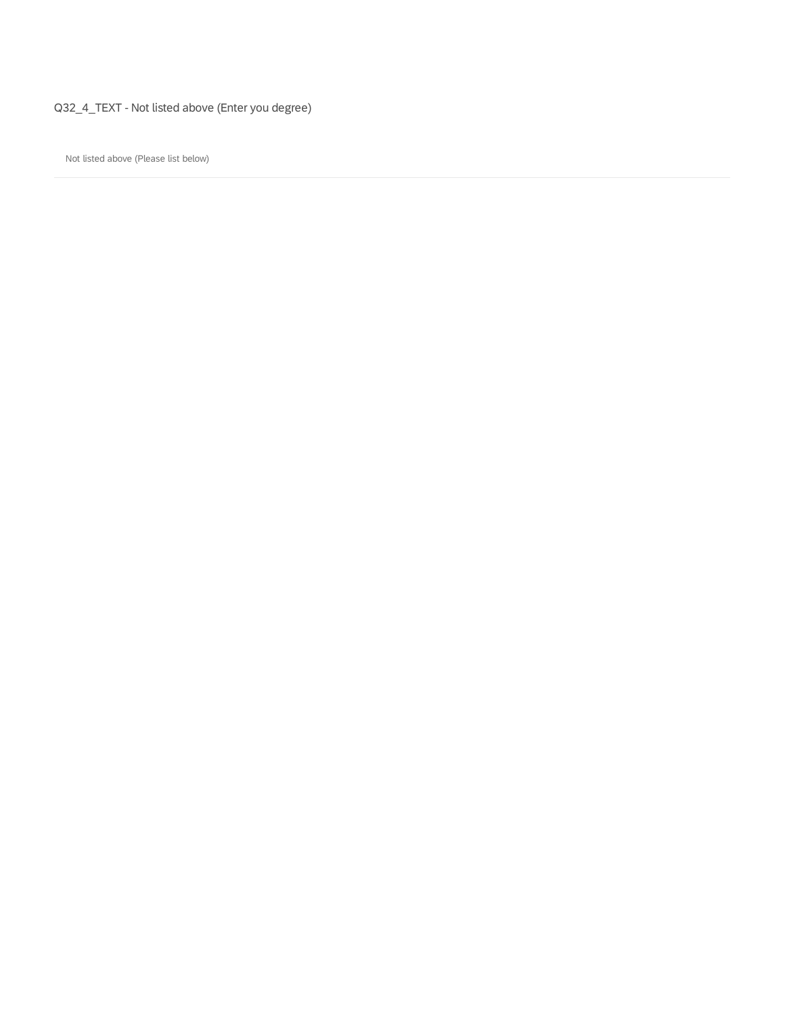Q32\_4\_TEXT - Not listed above (Enter you degree)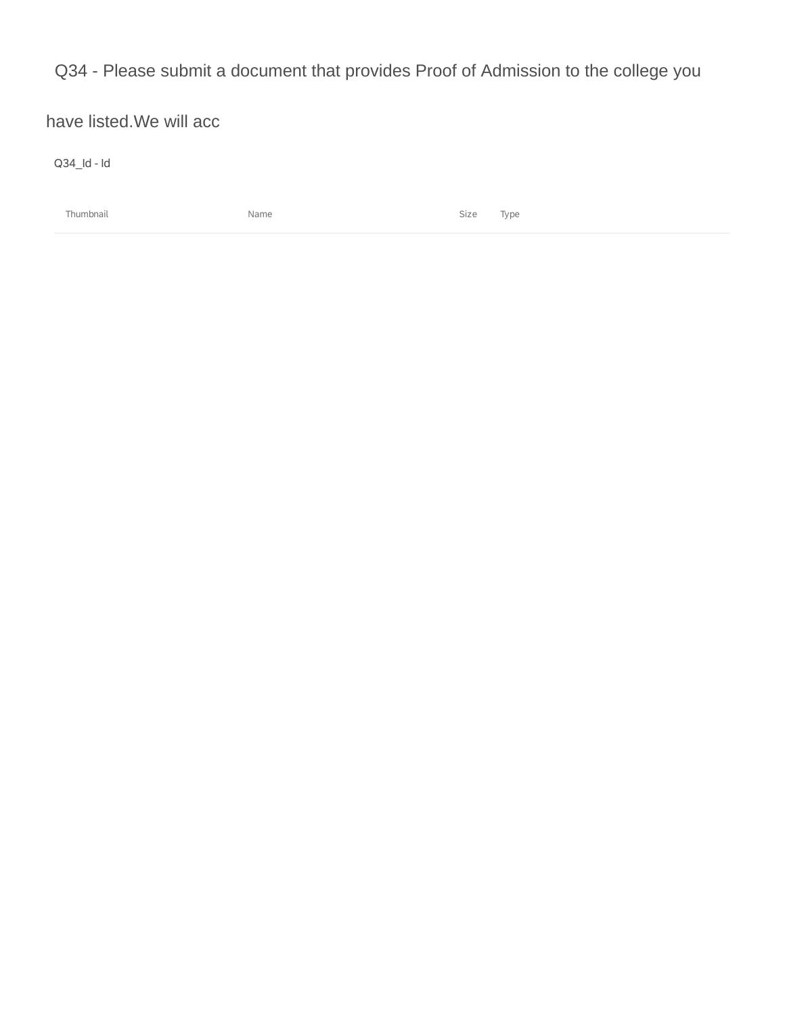Q34 - Please submit a document that provides Proof of Admission to the college you

have listed.We will acc

Q34\_Id - Id

Thumbnail Name Size Type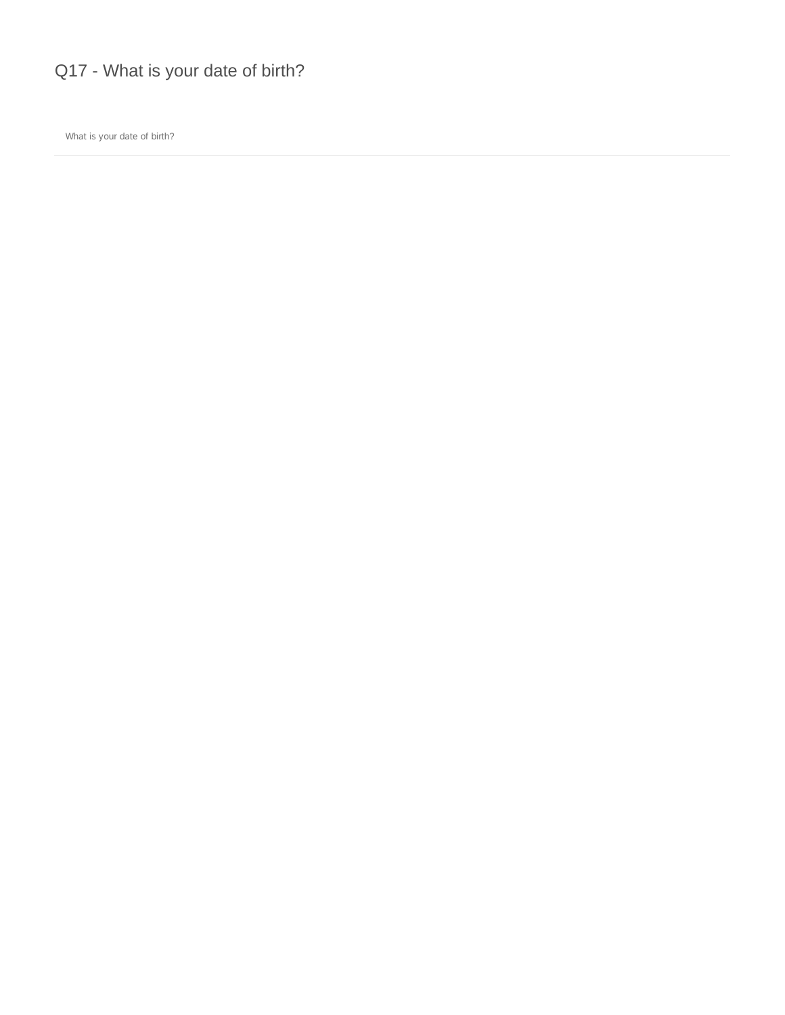Q17 - What is your date of birth?

What is your date of birth?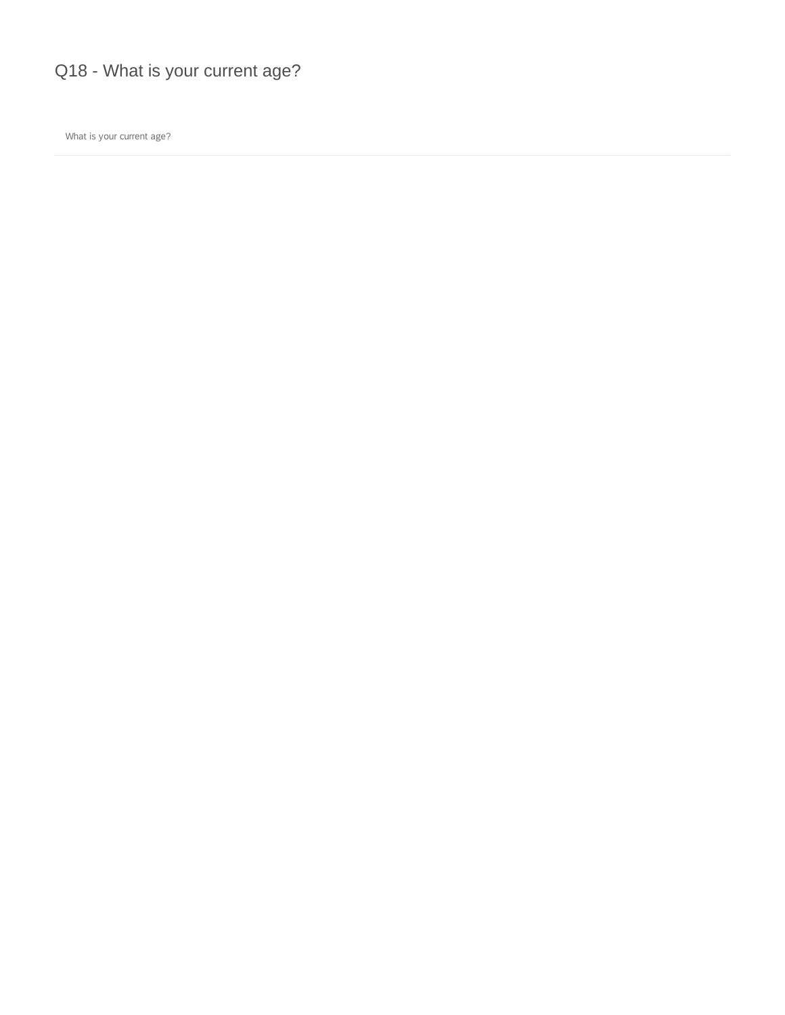Q18 - What is your current age?

What is your current age?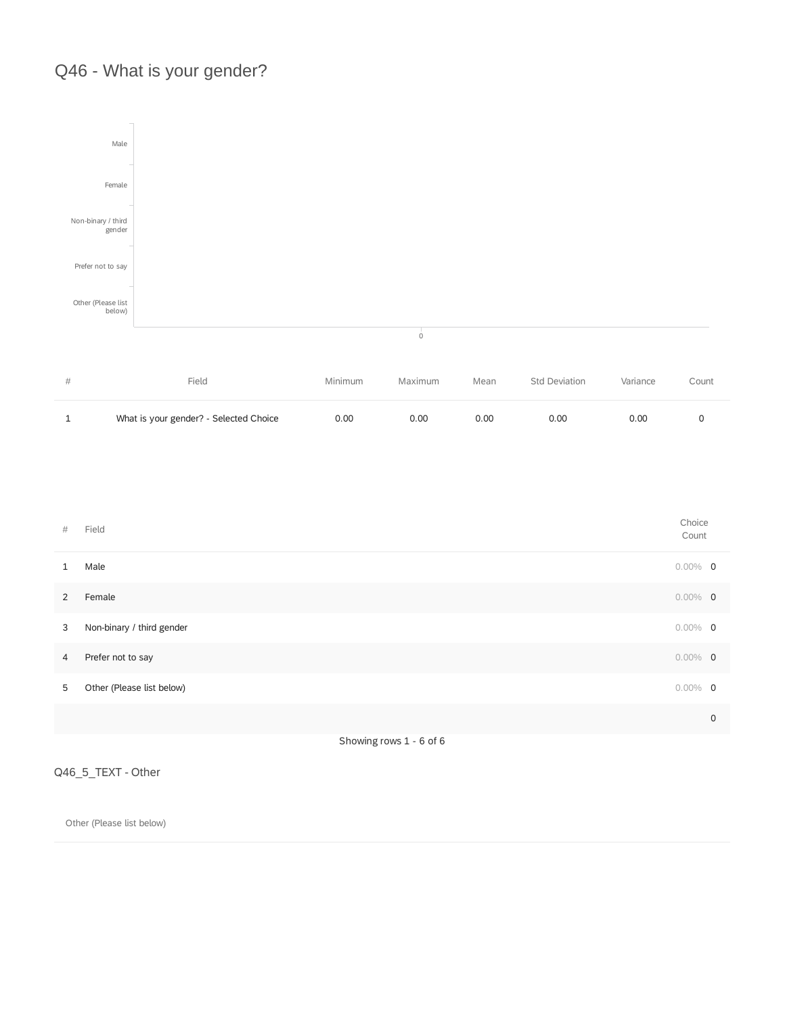## Q46 - What is your gender?



| # | Field                                  | <b>Minimum</b> | Maximum | Mean | <b>Std Deviation</b> | Variance | Count |
|---|----------------------------------------|----------------|---------|------|----------------------|----------|-------|
|   | What is your gender? - Selected Choice | 0.00           | 0.00    | 0.00 | 0.00                 | 0.00     |       |

| $\#$           | Field                     | Choice<br>Count |   |
|----------------|---------------------------|-----------------|---|
| $\mathbf{1}$   | Male                      | $0.00\%$ 0      |   |
| 2              | Female                    | $0.00\%$ 0      |   |
| 3              | Non-binary / third gender | $0.00\%$ 0      |   |
| $\overline{4}$ | Prefer not to say         | $0.00\%$ 0      |   |
| 5              | Other (Please list below) | $0.00\%$ 0      |   |
|                |                           |                 | 0 |
|                |                           |                 |   |

Showing rows 1 - 6 of 6

#### Q46\_5\_TEXT - Other

Other (Please list below)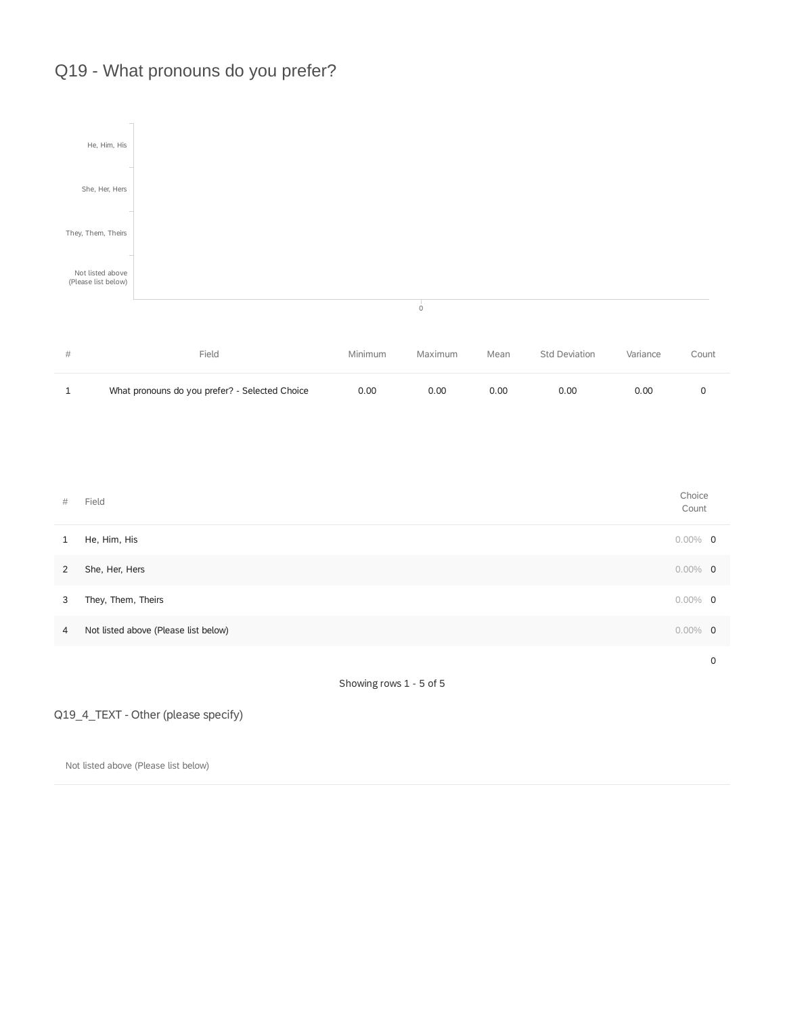## Q19 - What pronouns do you prefer?



Q19\_4\_TEXT - Other (please specify)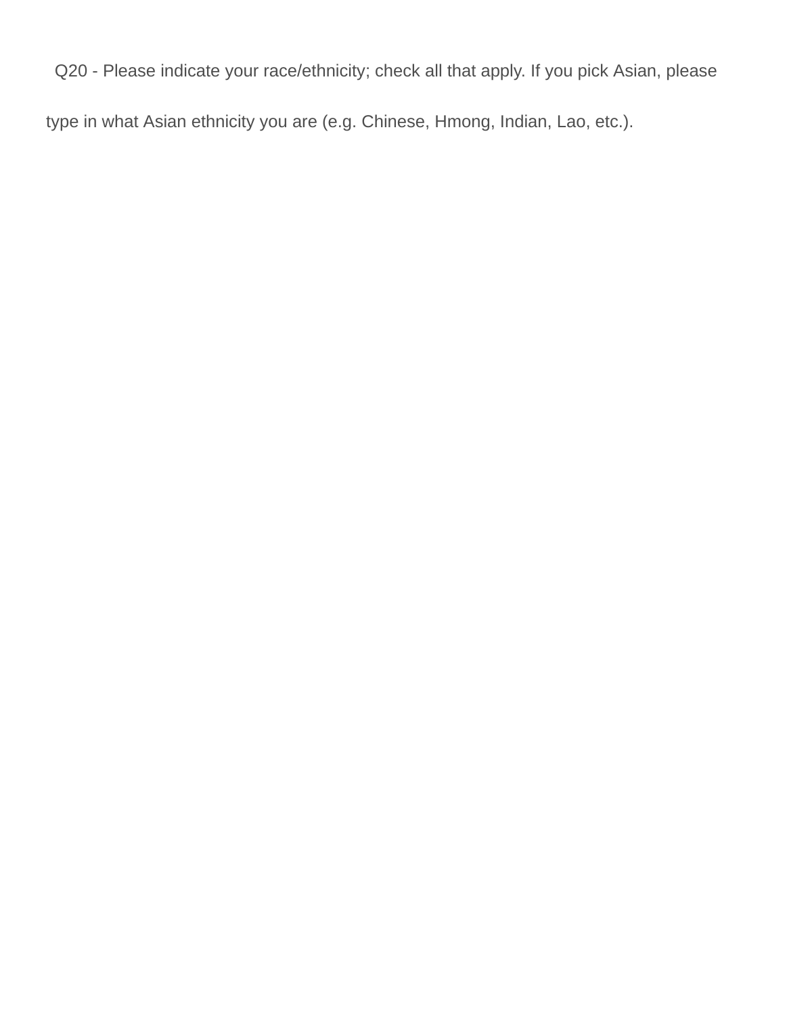## Q20 - Please indicate your race/ethnicity; check all that apply. If you pick Asian, please

type in what Asian ethnicity you are (e.g. Chinese, Hmong, Indian, Lao, etc.).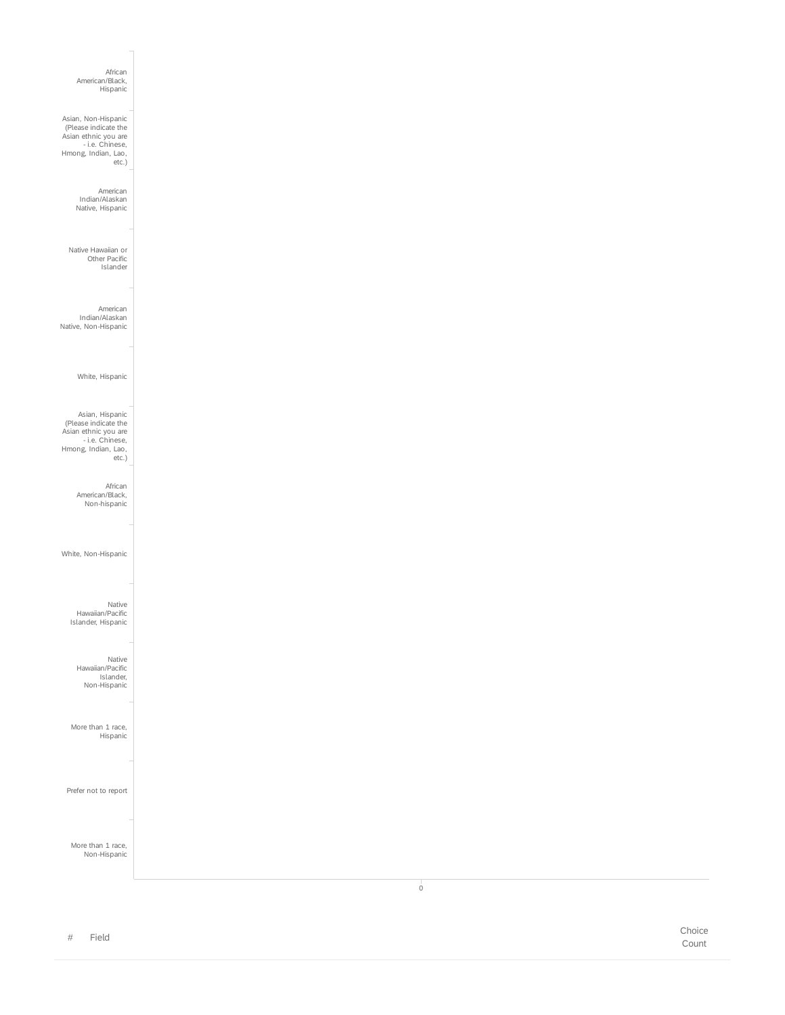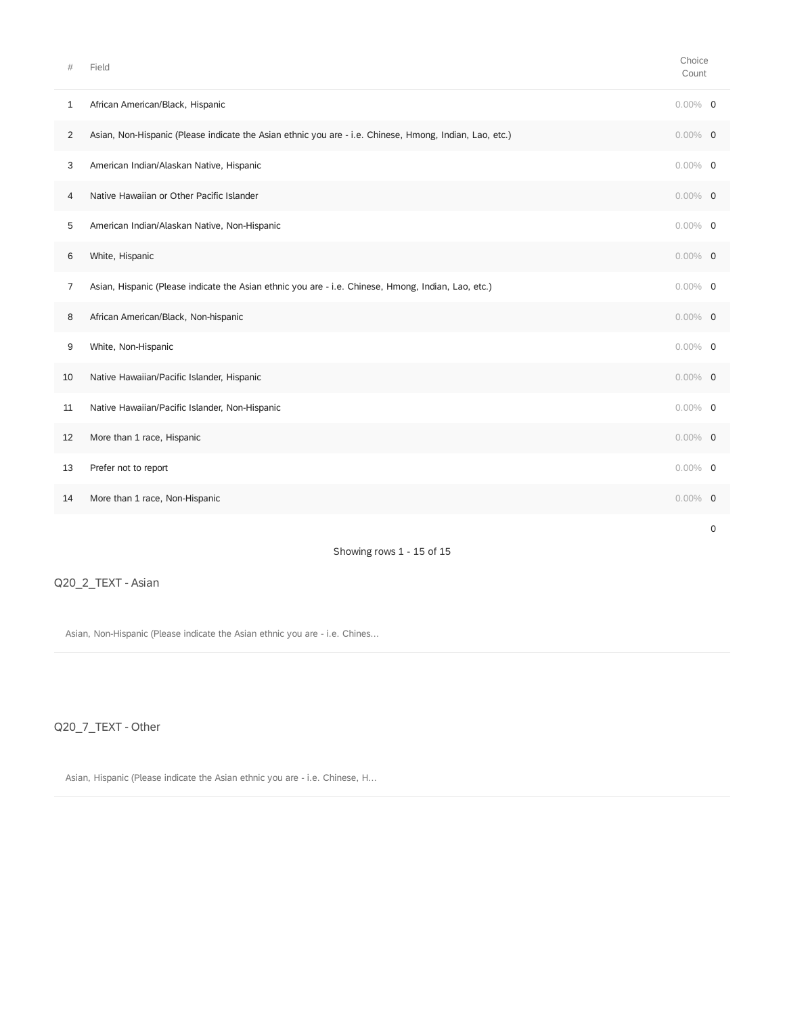| #  | Field                                                                                                   | Choice<br>Count |   |
|----|---------------------------------------------------------------------------------------------------------|-----------------|---|
| 1  | African American/Black, Hispanic                                                                        | $0.00\%$ 0      |   |
| 2  | Asian, Non-Hispanic (Please indicate the Asian ethnic you are - i.e. Chinese, Hmong, Indian, Lao, etc.) | $0.00\%$ 0      |   |
| 3  | American Indian/Alaskan Native, Hispanic                                                                | $0.00\%$ 0      |   |
| 4  | Native Hawaiian or Other Pacific Islander                                                               | $0.00\%$ 0      |   |
| 5  | American Indian/Alaskan Native, Non-Hispanic                                                            | $0.00\%$ 0      |   |
| 6  | White, Hispanic                                                                                         | $0.00\%$ 0      |   |
| 7  | Asian, Hispanic (Please indicate the Asian ethnic you are - i.e. Chinese, Hmong, Indian, Lao, etc.)     | $0.00\%$ 0      |   |
| 8  | African American/Black, Non-hispanic                                                                    | $0.00\%$ 0      |   |
| 9  | White, Non-Hispanic                                                                                     | $0.00\%$ 0      |   |
| 10 | Native Hawaiian/Pacific Islander, Hispanic                                                              | $0.00\%$ 0      |   |
| 11 | Native Hawaiian/Pacific Islander, Non-Hispanic                                                          | $0.00\%$ 0      |   |
| 12 | More than 1 race, Hispanic                                                                              | $0.00\%$ 0      |   |
| 13 | Prefer not to report                                                                                    | $0.00\%$ 0      |   |
| 14 | More than 1 race, Non-Hispanic                                                                          | $0.00\%$ 0      |   |
|    |                                                                                                         |                 | 0 |

#### Showing rows 1 - 15 of 15

#### Q20\_2\_TEXT - Asian

Asian, Non-Hispanic (Please indicate the Asian ethnic you are - i.e. Chines...

Q20\_7\_TEXT - Other

Asian, Hispanic (Please indicate the Asian ethnic you are - i.e. Chinese, H...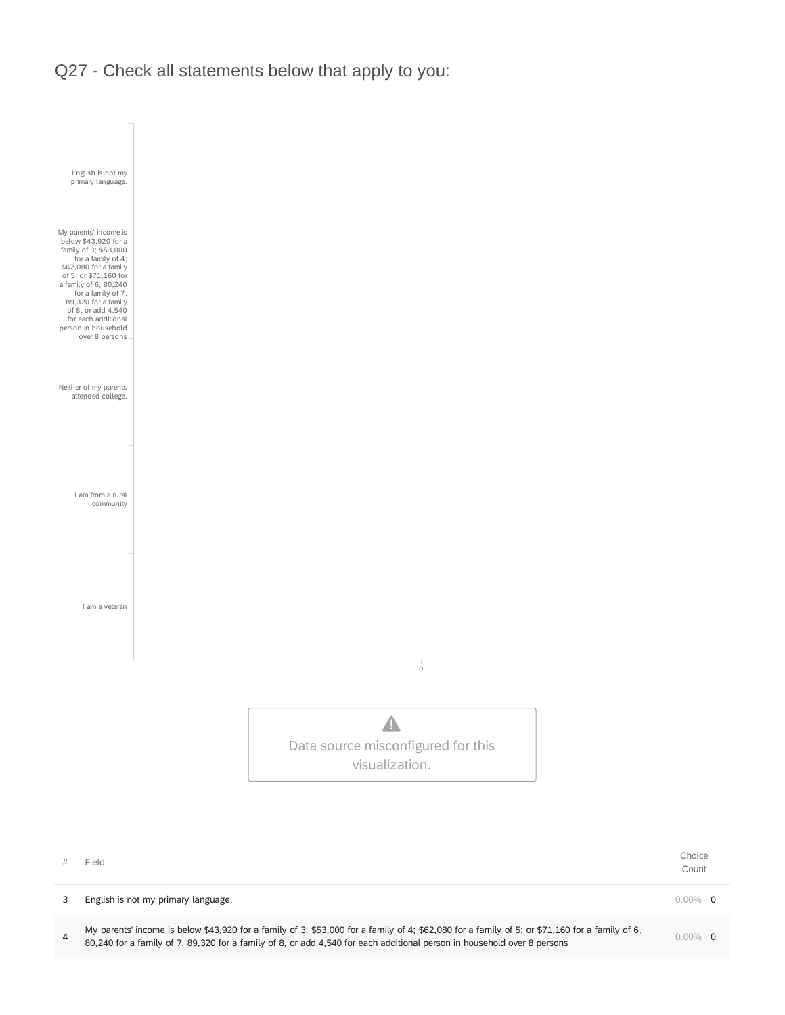Q27 - Check all statements below that apply to you:



3 English is not my primary language. **0.00% 0.00% 0.00% 0.00% 0.00% 0.00% 0.00% 0.00% 0.00% 0.00% 0.00% 0.00% 0** 

My parents' income is below \$43,920 for a family of 3; \$53,000 for a family of 4; \$62,080 for a family of 5; or \$71,160 for a family of 6,<br>
20.010 for a family of 7, 20.000 for a family of 0, and definitional and defined g wy parents income is below \$45,920 for a family of 3, \$55,000 for a family of 4, \$62,000 for a family of 5, or \$71,100 for a family of 6,<br>80,240 for a family of 7, 89,320 for a family of 8, or add 4,540 for each additional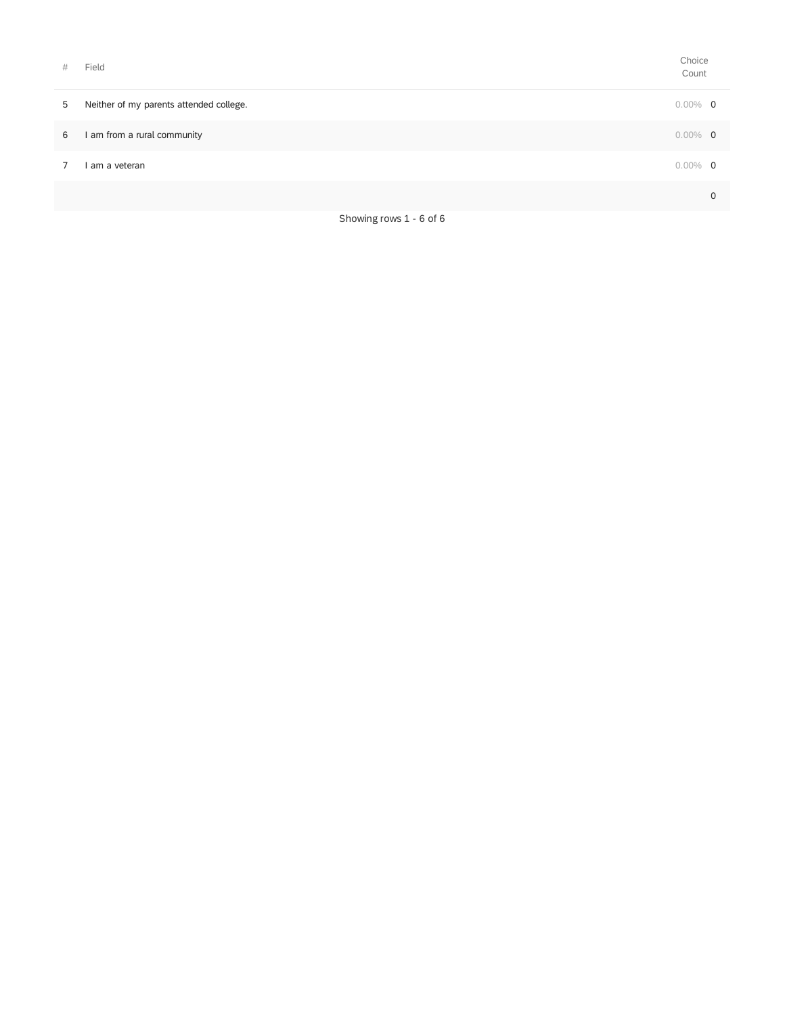| # | Field                                                                                                                                                                                                                         | Choice<br>Count |   |
|---|-------------------------------------------------------------------------------------------------------------------------------------------------------------------------------------------------------------------------------|-----------------|---|
| 5 | Neither of my parents attended college.                                                                                                                                                                                       | $0.00\%$ 0      |   |
| 6 | am from a rural community                                                                                                                                                                                                     | $0.00\%$ 0      |   |
| 7 | am a veteran                                                                                                                                                                                                                  | $0.00\%$ 0      |   |
|   |                                                                                                                                                                                                                               |                 | 0 |
|   | $-1$ . The contract of the contract of the contract of the contract of the contract of the contract of the contract of the contract of the contract of the contract of the contract of the contract of the contract of the co |                 |   |

Showing rows 1 - 6 of 6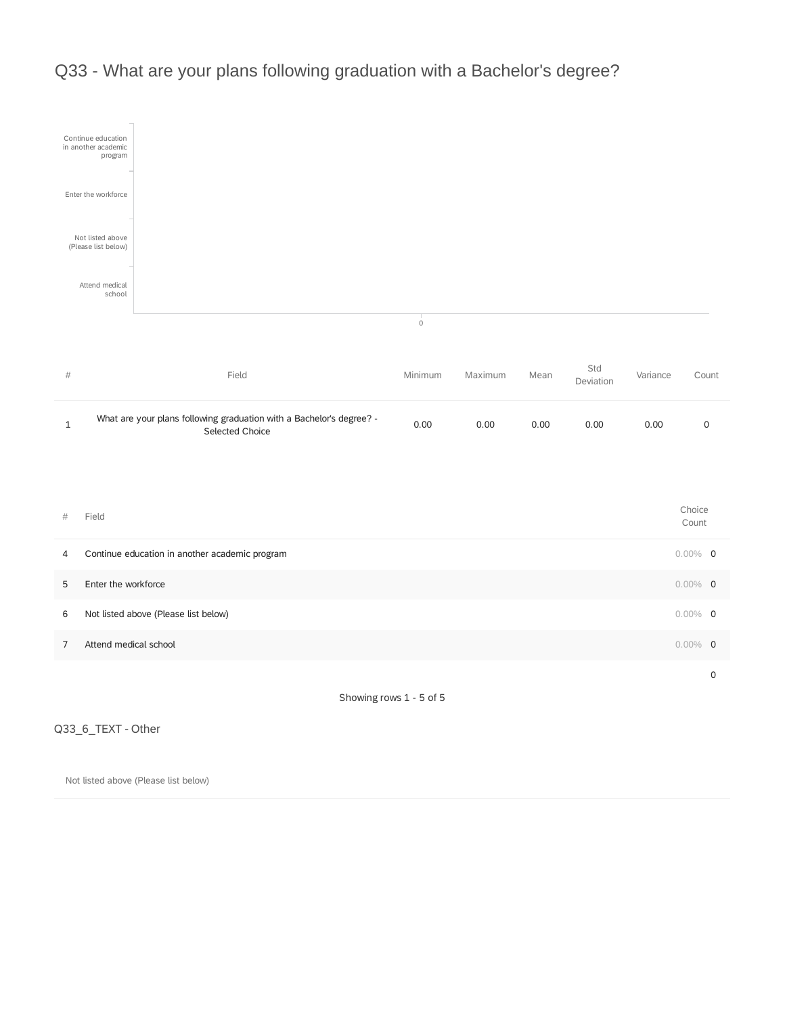

## Q33 - What are your plans following graduation with a Bachelor's degree?

Q33\_6\_TEXT - Other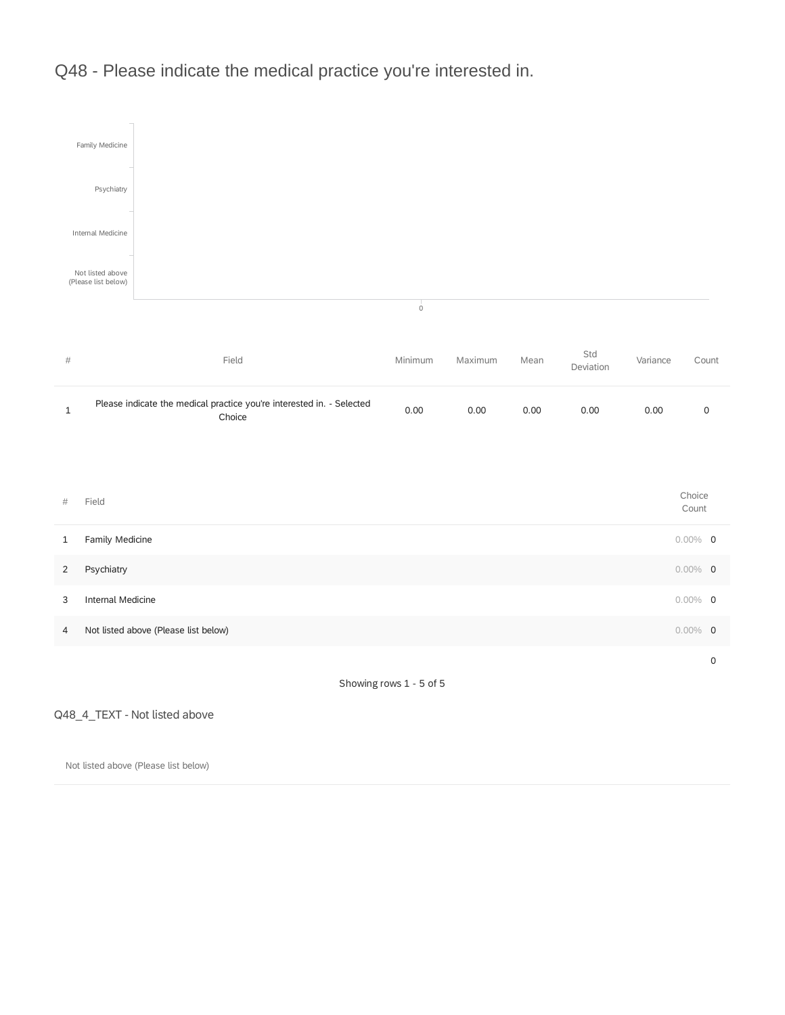

Q48 - Please indicate the medical practice you're interested in.

Showing rows 1 - 5 of 5

Q48\_4\_TEXT - Not listed above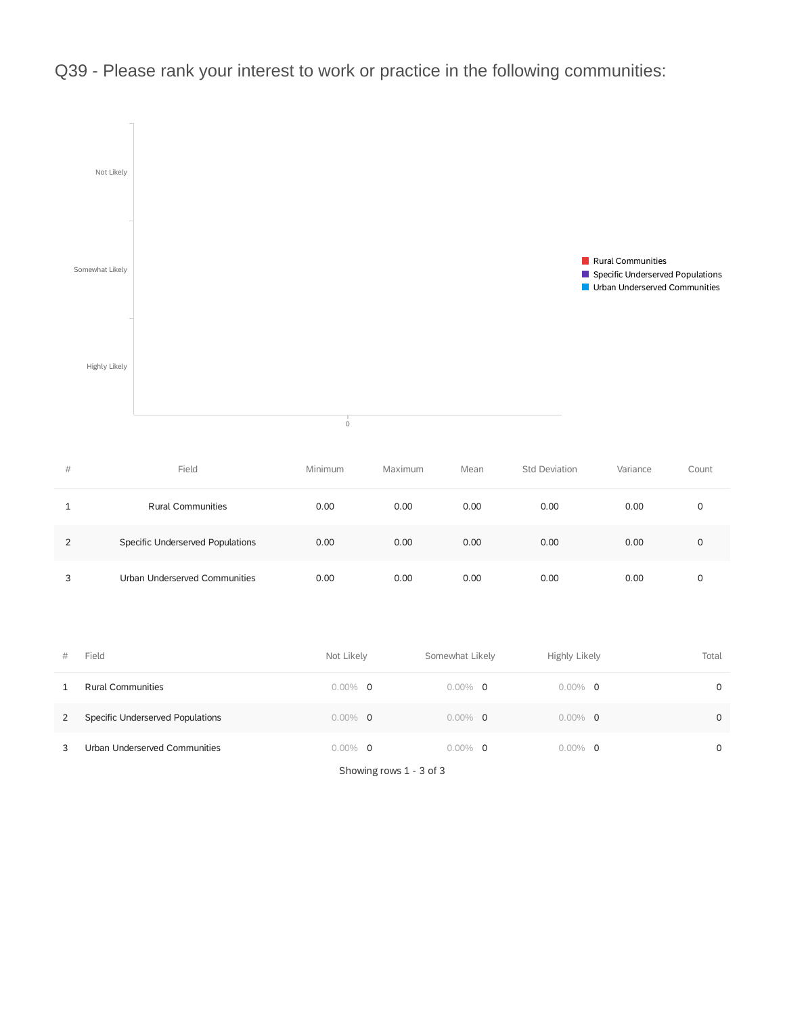

Q39 - Please rank your interest to work or practice in the following communities:

| # | Field                            | Minimum | Maximum | Mean | <b>Std Deviation</b> | Variance | Count |
|---|----------------------------------|---------|---------|------|----------------------|----------|-------|
|   | <b>Rural Communities</b>         | 0.00    | 0.00    | 0.00 | 0.00                 | 0.00     |       |
| 2 | Specific Underserved Populations | 0.00    | 0.00    | 0.00 | 0.00                 | 0.00     | 0     |
| 3 | Urban Underserved Communities    | 0.00    | 0.00    | 0.00 | 0.00                 | 0.00     |       |

| # | Field                            | Not Likely | Somewhat Likely | Highly Likely | Total    |
|---|----------------------------------|------------|-----------------|---------------|----------|
|   | <b>Rural Communities</b>         | $0.00\%$ 0 | $0.00\%$ 0      | $0.00\%$ 0    | $\Omega$ |
| 2 | Specific Underserved Populations | $0.00\%$ 0 | $0.00\%$ 0      | $0.00\%$ 0    | $\Omega$ |
| 3 | Urban Underserved Communities    | $0.00\%$ 0 | $0.00\%$ 0      | $0.00\%$ 0    | $\Omega$ |

Showing rows 1 - 3 of 3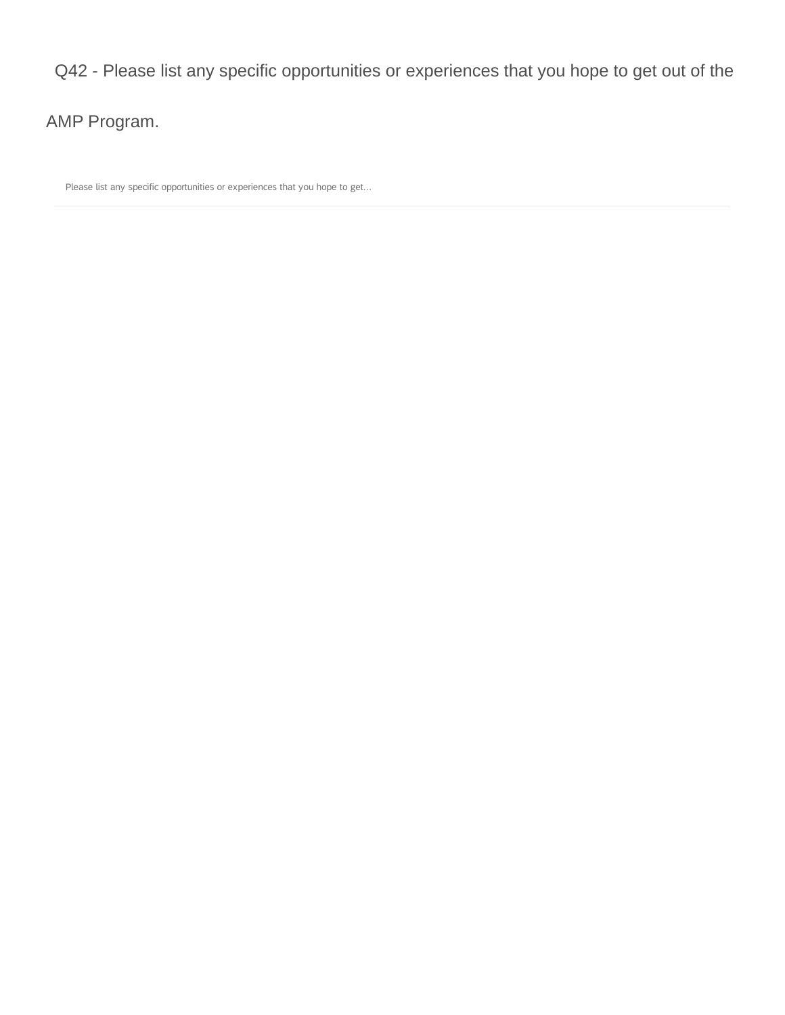### Q42 - Please list any specific opportunities or experiences that you hope to get out of the

AMP Program.

Please list any specific opportunities or experiences that you hope to get...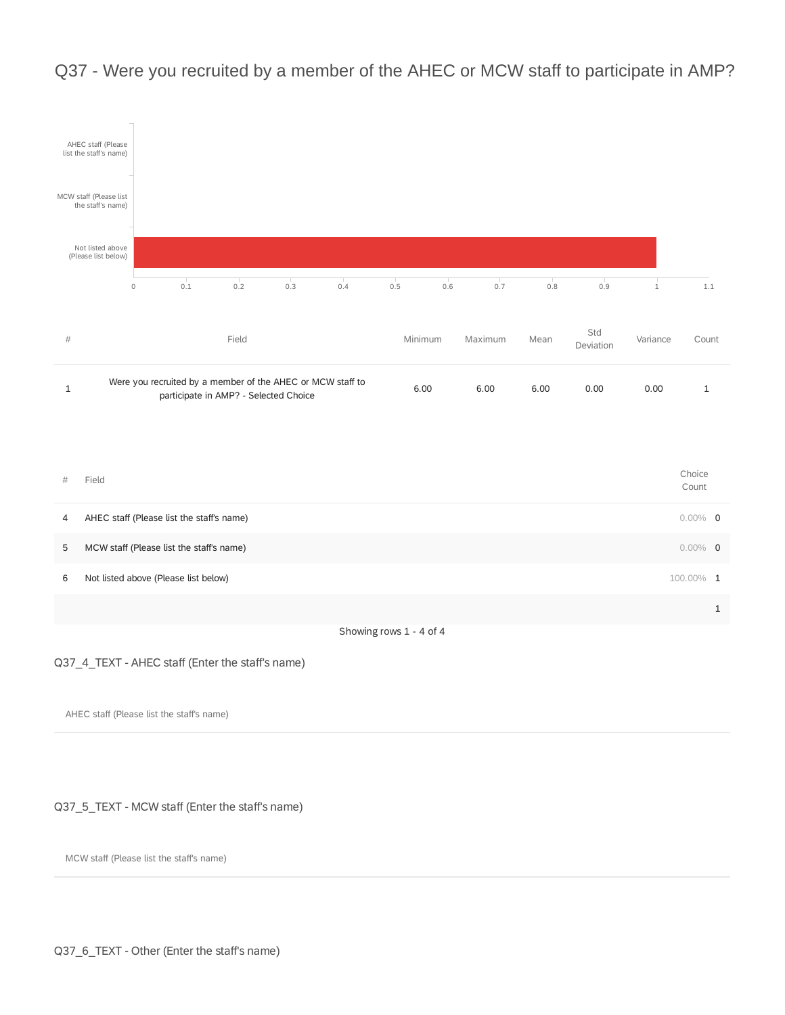

## Q37 - Were you recruited by a member of the AHEC or MCW staff to participate in AMP?

#### Q37\_4\_TEXT - AHEC staff (Enter the staff's name)

AHEC staff (Please list the staff's name)

#### Q37\_5\_TEXT - MCW staff (Enter the staff's name)

MCW staff (Please list the staff's name)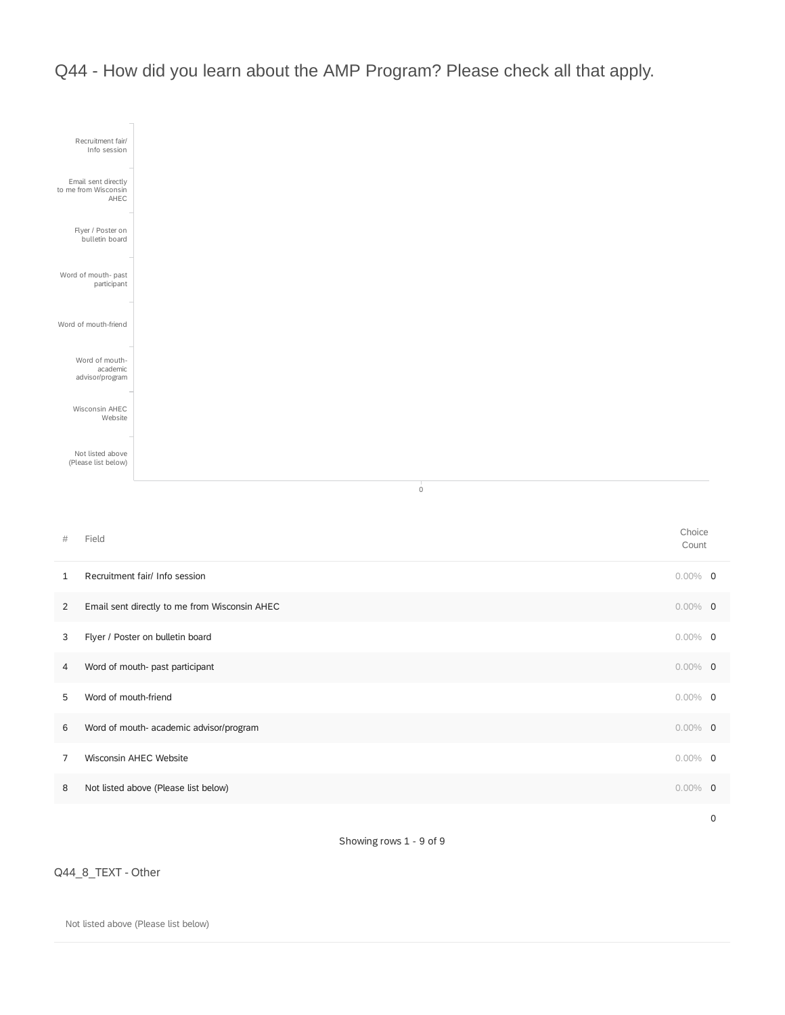Q44 - How did you learn about the AMP Program? Please check all that apply.



Showing rows 1 - 9 of 9

Q44\_8\_TEXT - Other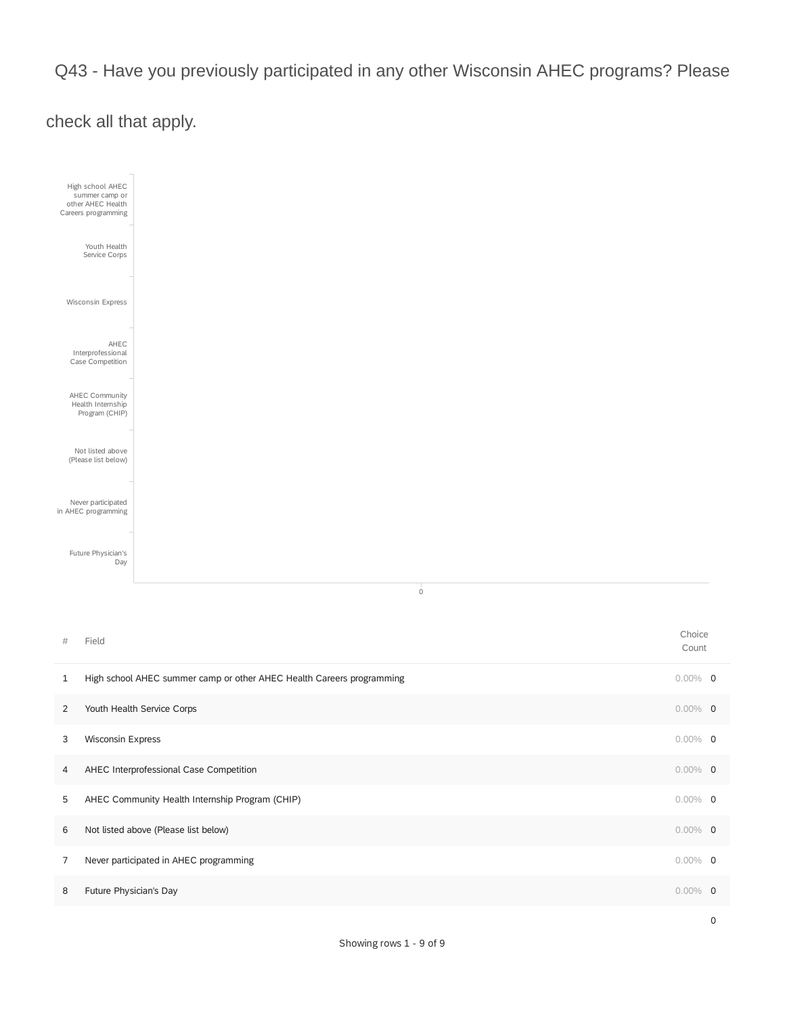Q43 - Have you previously participated in any other Wisconsin AHEC programs? Please

## check all that apply.



| 1 | High school AHEC summer camp or other AHEC Health Careers programming | $0.00\%$ 0 |     |
|---|-----------------------------------------------------------------------|------------|-----|
| 2 | Youth Health Service Corps                                            | $0.00\%$ 0 |     |
| 3 | <b>Wisconsin Express</b>                                              | $0.00\%$ 0 |     |
| 4 | AHEC Interprofessional Case Competition                               | $0.00\%$ 0 |     |
| 5 | AHEC Community Health Internship Program (CHIP)                       | $0.00\%$ 0 |     |
| 6 | Not listed above (Please list below)                                  | $0.00\%$ 0 |     |
| 7 | Never participated in AHEC programming                                | $0.00\%$ 0 |     |
| 8 | Future Physician's Day                                                | $0.00\%$   | - 0 |
|   |                                                                       |            |     |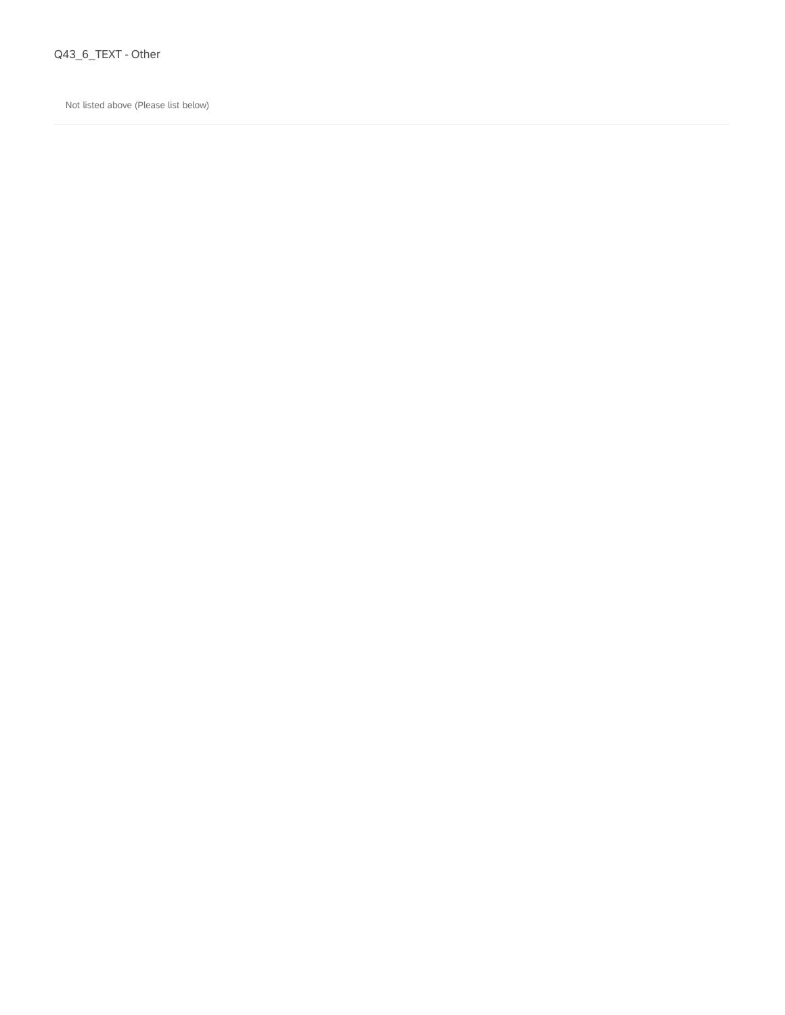#### Q43\_6\_TEXT - Other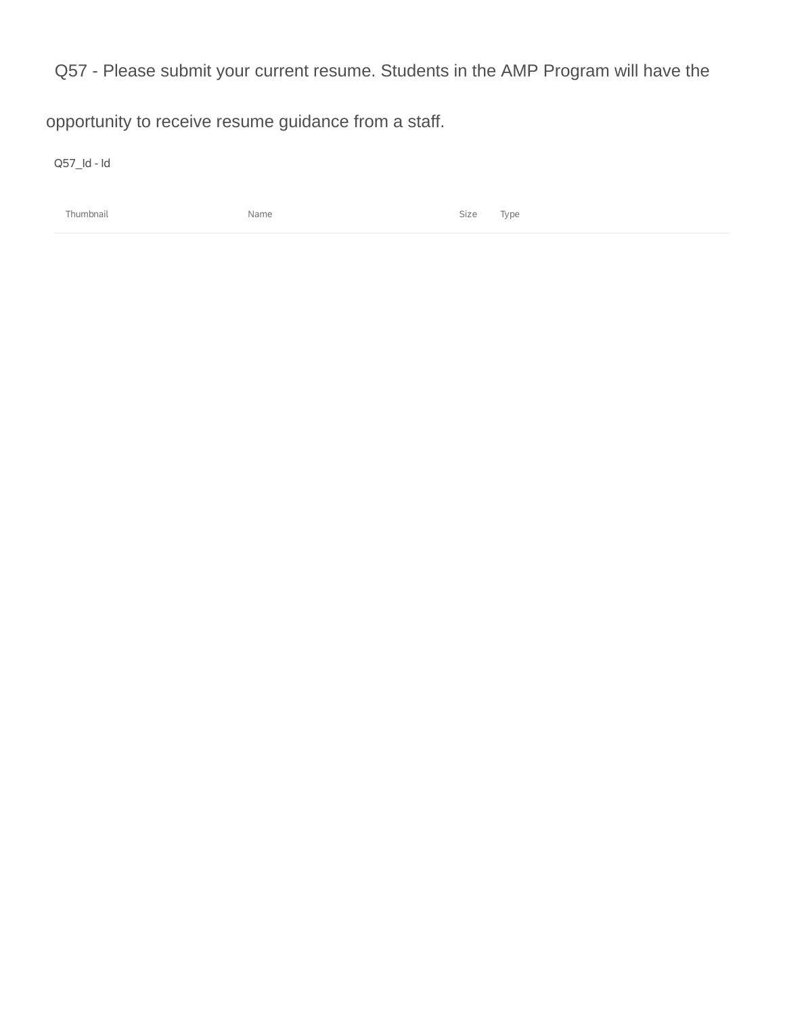Q57 - Please submit your current resume. Students in the AMP Program will have the

opportunity to receive resume guidance from a staff.

Q57\_Id - Id

Thumbnail Name Size Type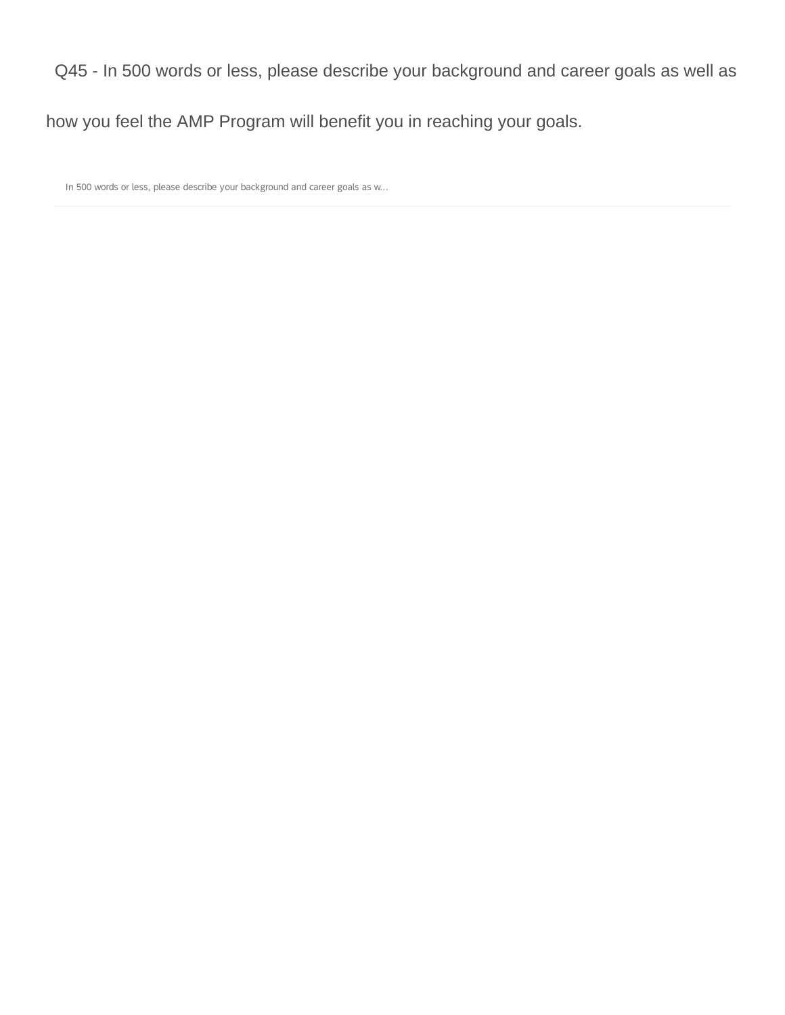### Q45 - In 500 words or less, please describe your background and career goals as well as

## how you feel the AMP Program will benefit you in reaching your goals.

In 500 words or less, please describe your background and career goals as w...